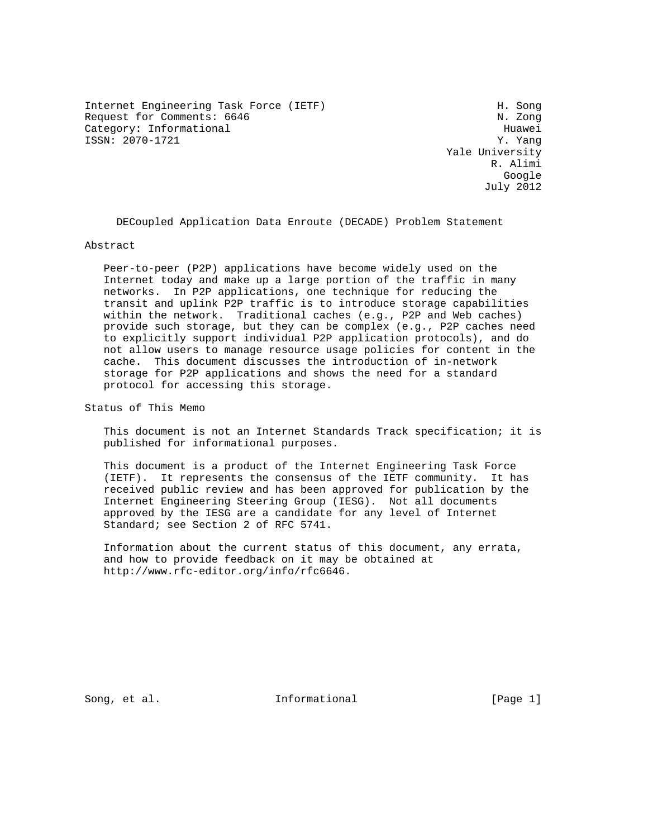Internet Engineering Task Force (IETF) The Congress of the Song Request for Comments: 6646 N. Zong Category: Informational development of the Huawei ISSN: 2070-1721 Y. Yang

 Yale University R. Alimi google is a straightforward of the control of the control of the control of the control of the control of the c July 2012

DECoupled Application Data Enroute (DECADE) Problem Statement

Abstract

 Peer-to-peer (P2P) applications have become widely used on the Internet today and make up a large portion of the traffic in many networks. In P2P applications, one technique for reducing the transit and uplink P2P traffic is to introduce storage capabilities within the network. Traditional caches (e.g., P2P and Web caches) provide such storage, but they can be complex (e.g., P2P caches need to explicitly support individual P2P application protocols), and do not allow users to manage resource usage policies for content in the cache. This document discusses the introduction of in-network storage for P2P applications and shows the need for a standard protocol for accessing this storage.

Status of This Memo

 This document is not an Internet Standards Track specification; it is published for informational purposes.

 This document is a product of the Internet Engineering Task Force (IETF). It represents the consensus of the IETF community. It has received public review and has been approved for publication by the Internet Engineering Steering Group (IESG). Not all documents approved by the IESG are a candidate for any level of Internet Standard; see Section 2 of RFC 5741.

 Information about the current status of this document, any errata, and how to provide feedback on it may be obtained at http://www.rfc-editor.org/info/rfc6646.

Song, et al. Thermational and Informational [Page 1]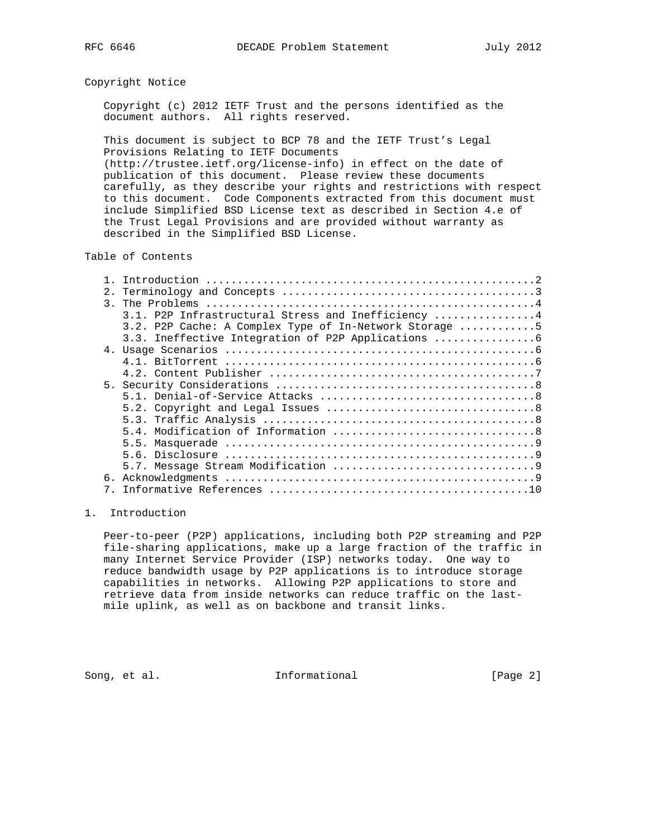#### Copyright Notice

 Copyright (c) 2012 IETF Trust and the persons identified as the document authors. All rights reserved.

 This document is subject to BCP 78 and the IETF Trust's Legal Provisions Relating to IETF Documents

 (http://trustee.ietf.org/license-info) in effect on the date of publication of this document. Please review these documents carefully, as they describe your rights and restrictions with respect to this document. Code Components extracted from this document must include Simplified BSD License text as described in Section 4.e of the Trust Legal Provisions and are provided without warranty as described in the Simplified BSD License.

# Table of Contents

|    | 3.1. P2P Infrastructural Stress and Inefficiency 4     |
|----|--------------------------------------------------------|
|    | 3.2. P2P Cache: A Complex Type of In-Network Storage 5 |
|    | 3.3. Ineffective Integration of P2P Applications       |
|    |                                                        |
|    |                                                        |
|    |                                                        |
|    |                                                        |
|    |                                                        |
|    |                                                        |
|    |                                                        |
|    |                                                        |
|    |                                                        |
|    |                                                        |
|    |                                                        |
|    |                                                        |
| б. |                                                        |
|    |                                                        |

# 1. Introduction

 Peer-to-peer (P2P) applications, including both P2P streaming and P2P file-sharing applications, make up a large fraction of the traffic in many Internet Service Provider (ISP) networks today. One way to reduce bandwidth usage by P2P applications is to introduce storage capabilities in networks. Allowing P2P applications to store and retrieve data from inside networks can reduce traffic on the last mile uplink, as well as on backbone and transit links.

Song, et al. The Informational The Informational [Page 2]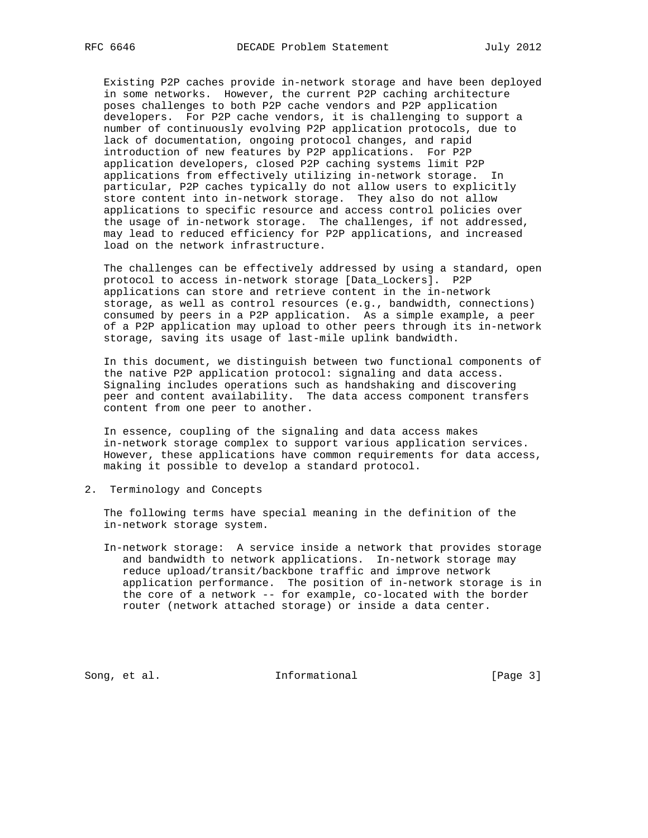Existing P2P caches provide in-network storage and have been deployed in some networks. However, the current P2P caching architecture poses challenges to both P2P cache vendors and P2P application developers. For P2P cache vendors, it is challenging to support a number of continuously evolving P2P application protocols, due to lack of documentation, ongoing protocol changes, and rapid introduction of new features by P2P applications. For P2P application developers, closed P2P caching systems limit P2P applications from effectively utilizing in-network storage. In particular, P2P caches typically do not allow users to explicitly store content into in-network storage. They also do not allow applications to specific resource and access control policies over the usage of in-network storage. The challenges, if not addressed, may lead to reduced efficiency for P2P applications, and increased load on the network infrastructure.

 The challenges can be effectively addressed by using a standard, open protocol to access in-network storage [Data\_Lockers]. P2P applications can store and retrieve content in the in-network storage, as well as control resources (e.g., bandwidth, connections) consumed by peers in a P2P application. As a simple example, a peer of a P2P application may upload to other peers through its in-network storage, saving its usage of last-mile uplink bandwidth.

 In this document, we distinguish between two functional components of the native P2P application protocol: signaling and data access. Signaling includes operations such as handshaking and discovering peer and content availability. The data access component transfers content from one peer to another.

 In essence, coupling of the signaling and data access makes in-network storage complex to support various application services. However, these applications have common requirements for data access, making it possible to develop a standard protocol.

2. Terminology and Concepts

 The following terms have special meaning in the definition of the in-network storage system.

 In-network storage: A service inside a network that provides storage and bandwidth to network applications. In-network storage may reduce upload/transit/backbone traffic and improve network application performance. The position of in-network storage is in the core of a network -- for example, co-located with the border router (network attached storage) or inside a data center.

Song, et al. The Informational The Informational [Page 3]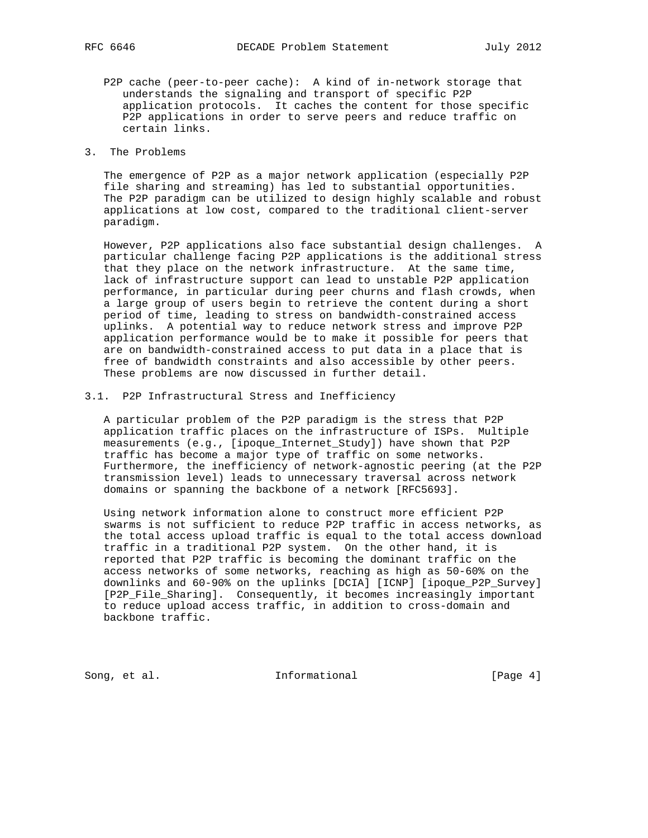- - P2P cache (peer-to-peer cache): A kind of in-network storage that understands the signaling and transport of specific P2P application protocols. It caches the content for those specific P2P applications in order to serve peers and reduce traffic on certain links.
- 3. The Problems

 The emergence of P2P as a major network application (especially P2P file sharing and streaming) has led to substantial opportunities. The P2P paradigm can be utilized to design highly scalable and robust applications at low cost, compared to the traditional client-server paradigm.

 However, P2P applications also face substantial design challenges. A particular challenge facing P2P applications is the additional stress that they place on the network infrastructure. At the same time, lack of infrastructure support can lead to unstable P2P application performance, in particular during peer churns and flash crowds, when a large group of users begin to retrieve the content during a short period of time, leading to stress on bandwidth-constrained access uplinks. A potential way to reduce network stress and improve P2P application performance would be to make it possible for peers that are on bandwidth-constrained access to put data in a place that is free of bandwidth constraints and also accessible by other peers. These problems are now discussed in further detail.

#### 3.1. P2P Infrastructural Stress and Inefficiency

 A particular problem of the P2P paradigm is the stress that P2P application traffic places on the infrastructure of ISPs. Multiple measurements (e.g., [ipoque\_Internet\_Study]) have shown that P2P traffic has become a major type of traffic on some networks. Furthermore, the inefficiency of network-agnostic peering (at the P2P transmission level) leads to unnecessary traversal across network domains or spanning the backbone of a network [RFC5693].

 Using network information alone to construct more efficient P2P swarms is not sufficient to reduce P2P traffic in access networks, as the total access upload traffic is equal to the total access download traffic in a traditional P2P system. On the other hand, it is reported that P2P traffic is becoming the dominant traffic on the access networks of some networks, reaching as high as 50-60% on the downlinks and 60-90% on the uplinks [DCIA] [ICNP] [ipoque\_P2P\_Survey] [P2P\_File\_Sharing]. Consequently, it becomes increasingly important to reduce upload access traffic, in addition to cross-domain and backbone traffic.

Song, et al. The Informational Theory and Informational [Page 4]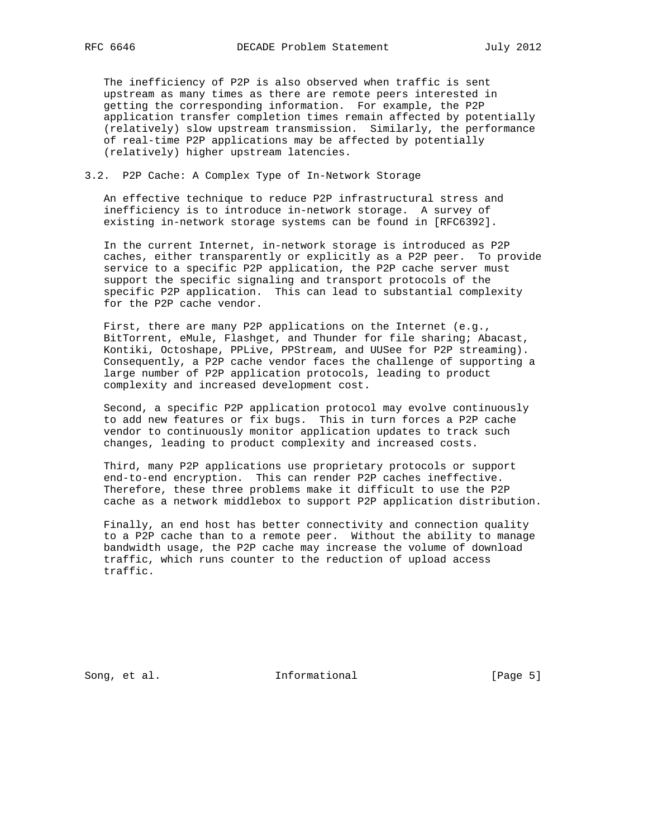The inefficiency of P2P is also observed when traffic is sent upstream as many times as there are remote peers interested in getting the corresponding information. For example, the P2P application transfer completion times remain affected by potentially (relatively) slow upstream transmission. Similarly, the performance of real-time P2P applications may be affected by potentially (relatively) higher upstream latencies.

#### 3.2. P2P Cache: A Complex Type of In-Network Storage

 An effective technique to reduce P2P infrastructural stress and inefficiency is to introduce in-network storage. A survey of existing in-network storage systems can be found in [RFC6392].

 In the current Internet, in-network storage is introduced as P2P caches, either transparently or explicitly as a P2P peer. To provide service to a specific P2P application, the P2P cache server must support the specific signaling and transport protocols of the specific P2P application. This can lead to substantial complexity for the P2P cache vendor.

 First, there are many P2P applications on the Internet (e.g., BitTorrent, eMule, Flashget, and Thunder for file sharing; Abacast, Kontiki, Octoshape, PPLive, PPStream, and UUSee for P2P streaming). Consequently, a P2P cache vendor faces the challenge of supporting a large number of P2P application protocols, leading to product complexity and increased development cost.

 Second, a specific P2P application protocol may evolve continuously to add new features or fix bugs. This in turn forces a P2P cache vendor to continuously monitor application updates to track such changes, leading to product complexity and increased costs.

 Third, many P2P applications use proprietary protocols or support end-to-end encryption. This can render P2P caches ineffective. Therefore, these three problems make it difficult to use the P2P cache as a network middlebox to support P2P application distribution.

 Finally, an end host has better connectivity and connection quality to a P2P cache than to a remote peer. Without the ability to manage bandwidth usage, the P2P cache may increase the volume of download traffic, which runs counter to the reduction of upload access traffic.

Song, et al. The Informational The Informational [Page 5]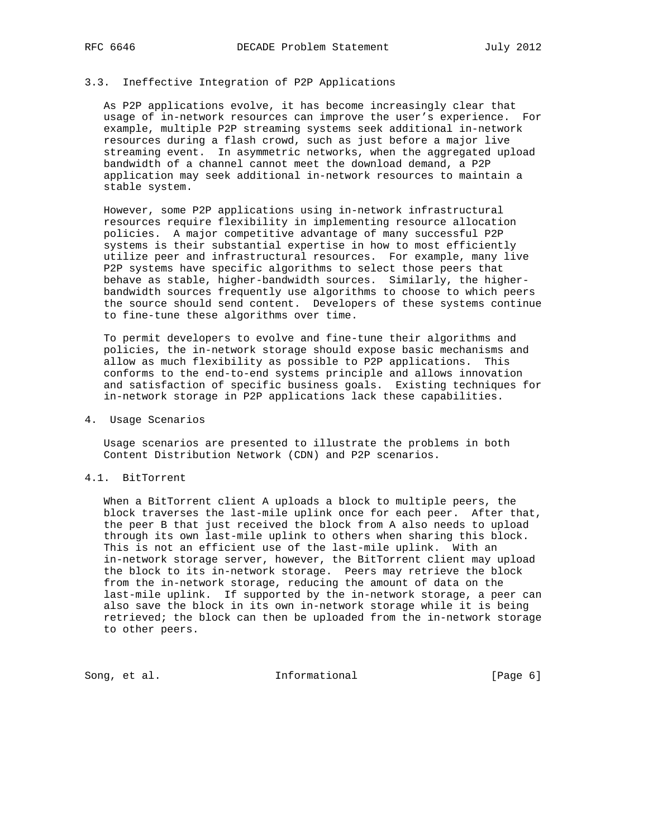#### 3.3. Ineffective Integration of P2P Applications

 As P2P applications evolve, it has become increasingly clear that usage of in-network resources can improve the user's experience. For example, multiple P2P streaming systems seek additional in-network resources during a flash crowd, such as just before a major live streaming event. In asymmetric networks, when the aggregated upload bandwidth of a channel cannot meet the download demand, a P2P application may seek additional in-network resources to maintain a stable system.

 However, some P2P applications using in-network infrastructural resources require flexibility in implementing resource allocation policies. A major competitive advantage of many successful P2P systems is their substantial expertise in how to most efficiently utilize peer and infrastructural resources. For example, many live P2P systems have specific algorithms to select those peers that behave as stable, higher-bandwidth sources. Similarly, the higher bandwidth sources frequently use algorithms to choose to which peers the source should send content. Developers of these systems continue to fine-tune these algorithms over time.

 To permit developers to evolve and fine-tune their algorithms and policies, the in-network storage should expose basic mechanisms and allow as much flexibility as possible to P2P applications. This conforms to the end-to-end systems principle and allows innovation and satisfaction of specific business goals. Existing techniques for in-network storage in P2P applications lack these capabilities.

#### 4. Usage Scenarios

 Usage scenarios are presented to illustrate the problems in both Content Distribution Network (CDN) and P2P scenarios.

#### 4.1. BitTorrent

 When a BitTorrent client A uploads a block to multiple peers, the block traverses the last-mile uplink once for each peer. After that, the peer B that just received the block from A also needs to upload through its own last-mile uplink to others when sharing this block. This is not an efficient use of the last-mile uplink. With an in-network storage server, however, the BitTorrent client may upload the block to its in-network storage. Peers may retrieve the block from the in-network storage, reducing the amount of data on the last-mile uplink. If supported by the in-network storage, a peer can also save the block in its own in-network storage while it is being retrieved; the block can then be uploaded from the in-network storage to other peers.

Song, et al. The Informational Theory and Informational [Page 6]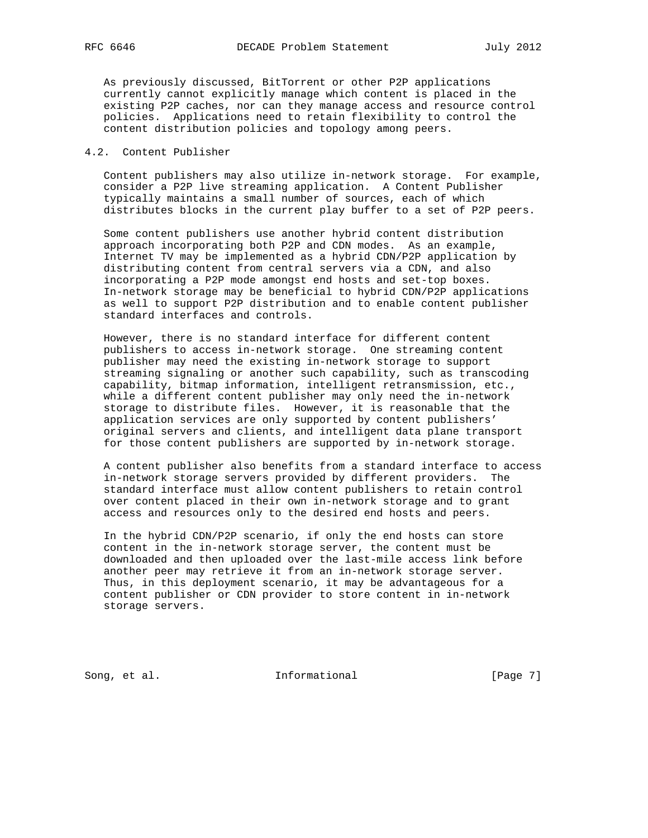As previously discussed, BitTorrent or other P2P applications currently cannot explicitly manage which content is placed in the existing P2P caches, nor can they manage access and resource control policies. Applications need to retain flexibility to control the content distribution policies and topology among peers.

#### 4.2. Content Publisher

 Content publishers may also utilize in-network storage. For example, consider a P2P live streaming application. A Content Publisher typically maintains a small number of sources, each of which distributes blocks in the current play buffer to a set of P2P peers.

 Some content publishers use another hybrid content distribution approach incorporating both P2P and CDN modes. As an example, Internet TV may be implemented as a hybrid CDN/P2P application by distributing content from central servers via a CDN, and also incorporating a P2P mode amongst end hosts and set-top boxes. In-network storage may be beneficial to hybrid CDN/P2P applications as well to support P2P distribution and to enable content publisher standard interfaces and controls.

 However, there is no standard interface for different content publishers to access in-network storage. One streaming content publisher may need the existing in-network storage to support streaming signaling or another such capability, such as transcoding capability, bitmap information, intelligent retransmission, etc., while a different content publisher may only need the in-network storage to distribute files. However, it is reasonable that the application services are only supported by content publishers' original servers and clients, and intelligent data plane transport for those content publishers are supported by in-network storage.

 A content publisher also benefits from a standard interface to access in-network storage servers provided by different providers. The standard interface must allow content publishers to retain control over content placed in their own in-network storage and to grant access and resources only to the desired end hosts and peers.

 In the hybrid CDN/P2P scenario, if only the end hosts can store content in the in-network storage server, the content must be downloaded and then uploaded over the last-mile access link before another peer may retrieve it from an in-network storage server. Thus, in this deployment scenario, it may be advantageous for a content publisher or CDN provider to store content in in-network storage servers.

Song, et al. The Informational The Informational [Page 7]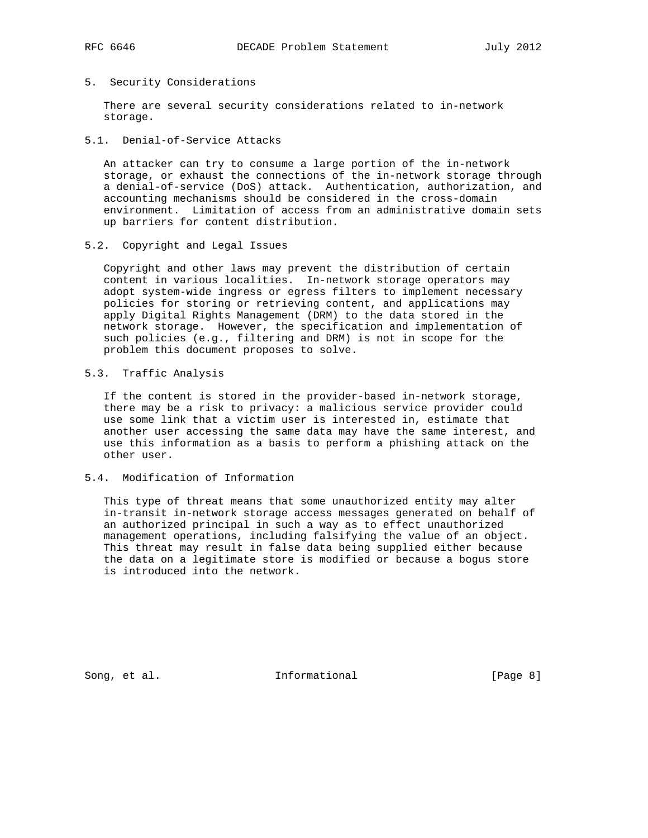### 5. Security Considerations

 There are several security considerations related to in-network storage.

### 5.1. Denial-of-Service Attacks

 An attacker can try to consume a large portion of the in-network storage, or exhaust the connections of the in-network storage through a denial-of-service (DoS) attack. Authentication, authorization, and accounting mechanisms should be considered in the cross-domain environment. Limitation of access from an administrative domain sets up barriers for content distribution.

### 5.2. Copyright and Legal Issues

 Copyright and other laws may prevent the distribution of certain content in various localities. In-network storage operators may adopt system-wide ingress or egress filters to implement necessary policies for storing or retrieving content, and applications may apply Digital Rights Management (DRM) to the data stored in the network storage. However, the specification and implementation of such policies (e.g., filtering and DRM) is not in scope for the problem this document proposes to solve.

#### 5.3. Traffic Analysis

 If the content is stored in the provider-based in-network storage, there may be a risk to privacy: a malicious service provider could use some link that a victim user is interested in, estimate that another user accessing the same data may have the same interest, and use this information as a basis to perform a phishing attack on the other user.

# 5.4. Modification of Information

 This type of threat means that some unauthorized entity may alter in-transit in-network storage access messages generated on behalf of an authorized principal in such a way as to effect unauthorized management operations, including falsifying the value of an object. This threat may result in false data being supplied either because the data on a legitimate store is modified or because a bogus store is introduced into the network.

Song, et al. The Informational The Informational [Page 8]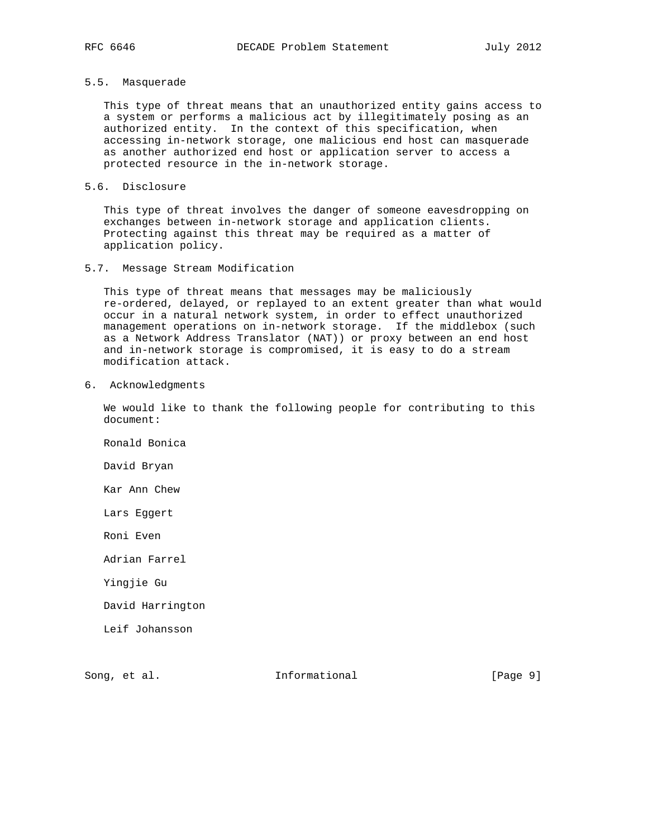# 5.5. Masquerade

 This type of threat means that an unauthorized entity gains access to a system or performs a malicious act by illegitimately posing as an authorized entity. In the context of this specification, when accessing in-network storage, one malicious end host can masquerade as another authorized end host or application server to access a protected resource in the in-network storage.

#### 5.6. Disclosure

 This type of threat involves the danger of someone eavesdropping on exchanges between in-network storage and application clients. Protecting against this threat may be required as a matter of application policy.

#### 5.7. Message Stream Modification

 This type of threat means that messages may be maliciously re-ordered, delayed, or replayed to an extent greater than what would occur in a natural network system, in order to effect unauthorized management operations on in-network storage. If the middlebox (such as a Network Address Translator (NAT)) or proxy between an end host and in-network storage is compromised, it is easy to do a stream modification attack.

6. Acknowledgments

 We would like to thank the following people for contributing to this document:

Ronald Bonica

David Bryan

Kar Ann Chew

Lars Eggert

Roni Even

Adrian Farrel

Yingjie Gu

David Harrington

Leif Johansson

Song, et al. The Informational The Informational [Page 9]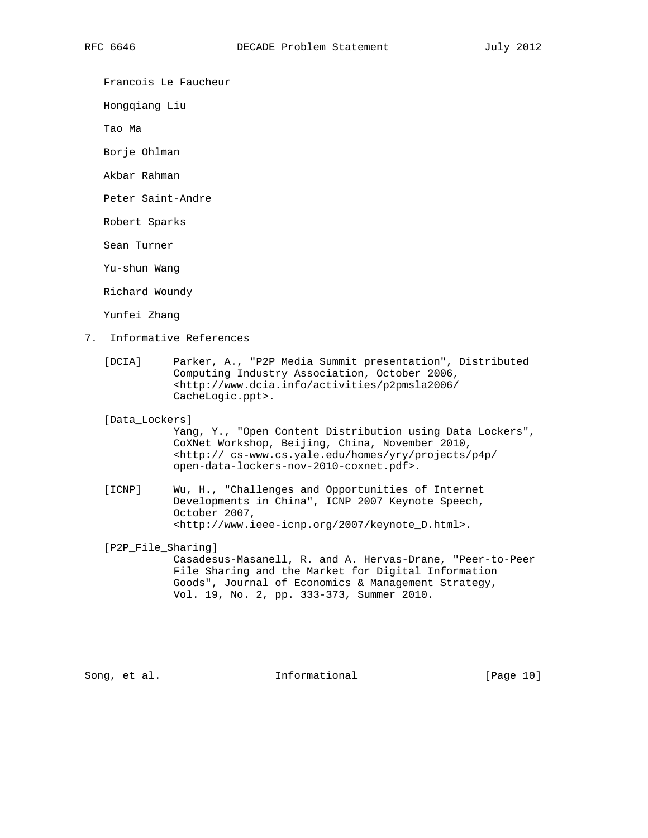Francois Le Faucheur

Hongqiang Liu

Tao Ma

Borje Ohlman

Akbar Rahman

Peter Saint-Andre

Robert Sparks

Sean Turner

Yu-shun Wang

Richard Woundy

Yunfei Zhang

- 7. Informative References
	- [DCIA] Parker, A., "P2P Media Summit presentation", Distributed Computing Industry Association, October 2006, <http://www.dcia.info/activities/p2pmsla2006/ CacheLogic.ppt>.

[Data\_Lockers]

 Yang, Y., "Open Content Distribution using Data Lockers", CoXNet Workshop, Beijing, China, November 2010, <http:// cs-www.cs.yale.edu/homes/yry/projects/p4p/ open-data-lockers-nov-2010-coxnet.pdf>.

 [ICNP] Wu, H., "Challenges and Opportunities of Internet Developments in China", ICNP 2007 Keynote Speech, October 2007, <http://www.ieee-icnp.org/2007/keynote\_D.html>.

[P2P\_File\_Sharing]

 Casadesus-Masanell, R. and A. Hervas-Drane, "Peer-to-Peer File Sharing and the Market for Digital Information Goods", Journal of Economics & Management Strategy, Vol. 19, No. 2, pp. 333-373, Summer 2010.

Song, et al. The Informational [Page 10]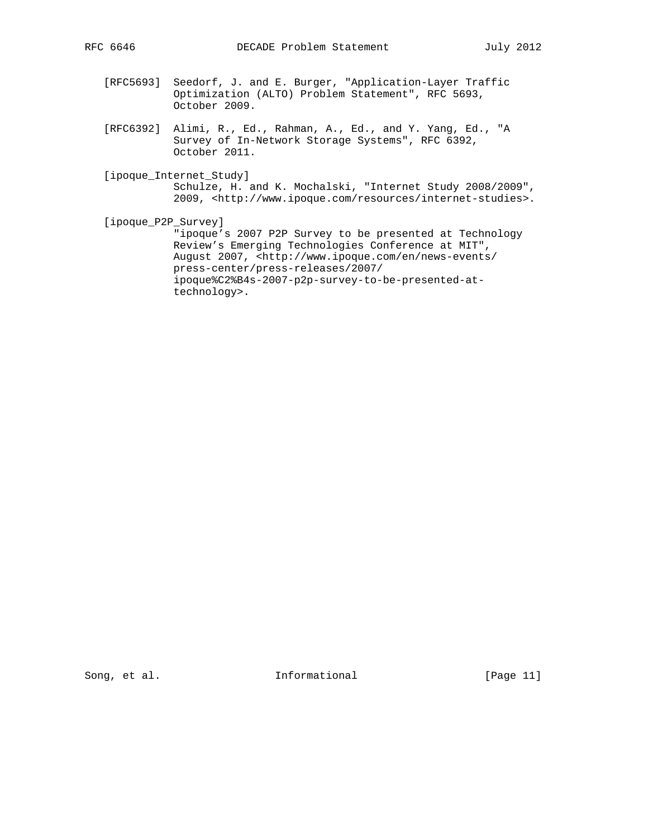- [RFC5693] Seedorf, J. and E. Burger, "Application-Layer Traffic Optimization (ALTO) Problem Statement", RFC 5693, October 2009.
- [RFC6392] Alimi, R., Ed., Rahman, A., Ed., and Y. Yang, Ed., "A Survey of In-Network Storage Systems", RFC 6392, October 2011.

 [ipoque\_Internet\_Study] Schulze, H. and K. Mochalski, "Internet Study 2008/2009", 2009, <http://www.ipoque.com/resources/internet-studies>.

[ipoque\_P2P\_Survey]

 "ipoque's 2007 P2P Survey to be presented at Technology Review's Emerging Technologies Conference at MIT", August 2007, <http://www.ipoque.com/en/news-events/ press-center/press-releases/2007/ ipoque%C2%B4s-2007-p2p-survey-to-be-presented-at technology>.